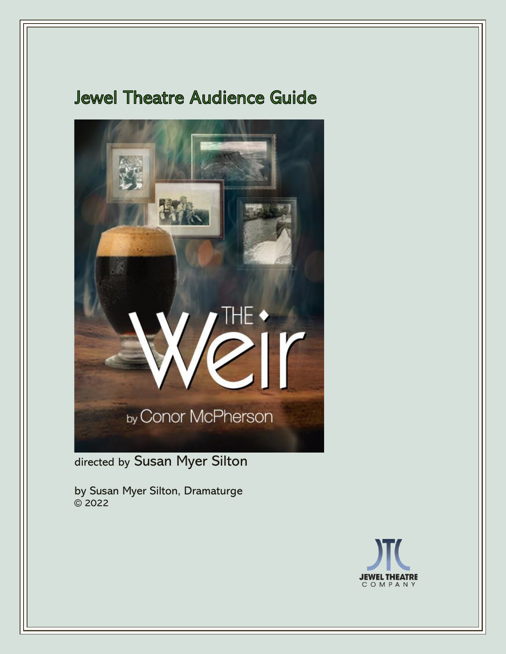# **Jewel Theatre Audience Guide**



directed by Susan Myer Silton

by Susan Myer Silton, Dramaturge  $\overline{\odot}$  2022

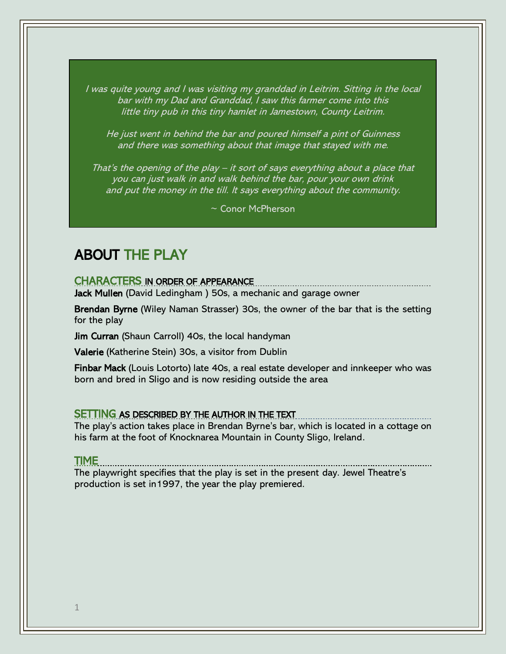I was quite young and I was visiting my granddad in Leitrim. Sitting in the local bar with my Dad and Granddad, I saw this farmer come into this little tiny pub in this tiny hamlet in Jamestown, County Leitrim.

He just went in behind the bar and poured himself a pint of Guinness and there was something about that image that stayed with me.

That's the opening of the play – it sort of says everything about a place that you can just walk in and walk behind the bar, pour your own drink and put the money in the till. It says everything about the community.

~ Conor McPherson

## ABOUT THE PLAY

CHARACTERS IN ORDER OF APPEARANCE

Jack Mullen (David Ledingham) 50s, a mechanic and garage owner

Brendan Byrne (Wiley Naman Strasser) 30s, the owner of the bar that is the setting for the play

Jim Curran (Shaun Carroll) 40s, the local handyman

Valerie (Katherine Stein) 30s, a visitor from Dublin

Finbar Mack (Louis Lotorto) late 40s, a real estate developer and innkeeper who was born and bred in Sligo and is now residing outside the area

#### SETTING AS DESCRIBED BY THE AUTHOR IN THE TEXT **CONSIDERATION**

The play's action takes place in Brendan Byrne's bar, which is located in a cottage on his farm at the foot of Knocknarea Mountain in County Sligo, Ireland.

#### TIME

The playwright specifies that the play is set in the present day. Jewel Theatre's production is set in1997, the year the play premiered.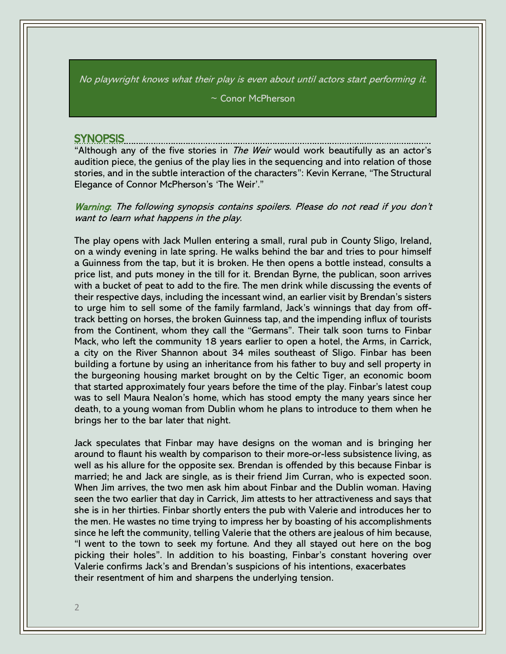No playwright knows what their play is even about until actors start performing it.

~ Conor McPherson

#### SYNOPSIS

"Although any of the five stories in *The Weir* would work beautifully as an actor's audition piece, the genius of the play lies in the sequencing and into relation of those stories, and in the subtle interaction of the characters": Kevin Kerrane, "The Structural Elegance of Connor McPherson's 'The Weir'."

Warning: The following synopsis contains spoilers. Please do not read if you don't want to learn what happens in the play.

The play opens with Jack Mullen entering a small, rural pub in County Sligo, Ireland, on a windy evening in late spring. He walks behind the bar and tries to pour himself a Guinness from the tap, but it is broken. He then opens a bottle instead, consults a price list, and puts money in the till for it. Brendan Byrne, the publican, soon arrives with a bucket of peat to add to the fire. The men drink while discussing the events of their respective days, including the incessant wind, an earlier visit by Brendan's sisters to urge him to sell some of the family farmland, Jack's winnings that day from offtrack betting on horses, the broken Guinness tap, and the impending influx of tourists from the Continent, whom they call the "Germans". Their talk soon turns to Finbar Mack, who left the community 18 years earlier to open a hotel, the Arms, in Carrick, a city on the River Shannon about 34 miles southeast of Sligo. Finbar has been building a fortune by using an inheritance from his father to buy and sell property in the burgeoning housing market brought on by the Celtic Tiger, an economic boom that started approximately four years before the time of the play. Finbar's latest coup was to sell Maura Nealon's home, which has stood empty the many years since her death, to a young woman from Dublin whom he plans to introduce to them when he brings her to the bar later that night.

Jack speculates that Finbar may have designs on the woman and is bringing her around to flaunt his wealth by comparison to their more-or-less subsistence living, as well as his allure for the opposite sex. Brendan is offended by this because Finbar is married; he and Jack are single, as is their friend Jim Curran, who is expected soon. When Jim arrives, the two men ask him about Finbar and the Dublin woman. Having seen the two earlier that day in Carrick, Jim attests to her attractiveness and says that she is in her thirties. Finbar shortly enters the pub with Valerie and introduces her to the men. He wastes no time trying to impress her by boasting of his accomplishments since he left the community, telling Valerie that the others are jealous of him because, "I went to the town to seek my fortune. And they all stayed out here on the bog picking their holes". In addition to his boasting, Finbar's constant hovering over Valerie confirms Jack's and Brendan's suspicions of his intentions, exacerbates their resentment of him and sharpens the underlying tension.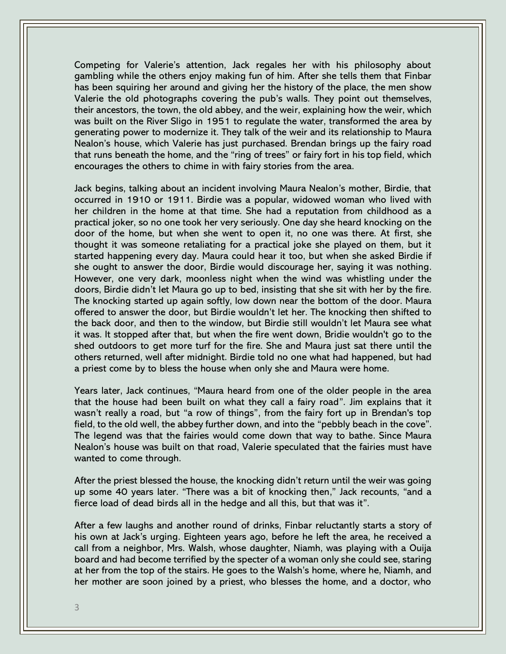Competing for Valerie's attention, Jack regales her with his philosophy about gambling while the others enjoy making fun of him. After she tells them that Finbar has been squiring her around and giving her the history of the place, the men show Valerie the old photographs covering the pub's walls. They point out themselves, their ancestors, the town, the old abbey, and the weir, explaining how the weir, which was built on the River Sligo in 1951 to regulate the water, transformed the area by generating power to modernize it. They talk of the weir and its relationship to Maura Nealon's house, which Valerie has just purchased. Brendan brings up the fairy road that runs beneath the home, and the "ring of trees" or fairy fort in his top field, which encourages the others to chime in with fairy stories from the area.

Jack begins, talking about an incident involving Maura Nealon's mother, Birdie, that occurred in 1910 or 1911. Birdie was a popular, widowed woman who lived with her children in the home at that time. She had a reputation from childhood as a practical joker, so no one took her very seriously. One day she heard knocking on the door of the home, but when she went to open it, no one was there. At first, she thought it was someone retaliating for a practical joke she played on them, but it started happening every day. Maura could hear it too, but when she asked Birdie if she ought to answer the door, Birdie would discourage her, saying it was nothing. However, one very dark, moonless night when the wind was whistling under the doors, Birdie didn't let Maura go up to bed, insisting that she sit with her by the fire. The knocking started up again softly, low down near the bottom of the door. Maura offered to answer the door, but Birdie wouldn't let her. The knocking then shifted to the back door, and then to the window, but Birdie still wouldn't let Maura see what it was. It stopped after that, but when the fire went down, Bridie wouldn't go to the shed outdoors to get more turf for the fire. She and Maura just sat there until the others returned, well after midnight. Birdie told no one what had happened, but had a priest come by to bless the house when only she and Maura were home.

Years later, Jack continues, "Maura heard from one of the older people in the area that the house had been built on what they call a fairy road". Jim explains that it wasn't really a road, but "a row of things", from the fairy fort up in Brendan's top field, to the old well, the abbey further down, and into the "pebbly beach in the cove". The legend was that the fairies would come down that way to bathe. Since Maura Nealon's house was built on that road, Valerie speculated that the fairies must have wanted to come through.

After the priest blessed the house, the knocking didn't return until the weir was going up some 40 years later. "There was a bit of knocking then," Jack recounts, "and a fierce load of dead birds all in the hedge and all this, but that was it".

After a few laughs and another round of drinks, Finbar reluctantly starts a story of his own at Jack's urging. Eighteen years ago, before he left the area, he received a call from a neighbor, Mrs. Walsh, whose daughter, Niamh, was playing with a Ouija board and had become terrified by the specter of a woman only she could see, staring at her from the top of the stairs. He goes to the Walsh's home, where he, Niamh, and her mother are soon joined by a priest, who blesses the home, and a doctor, who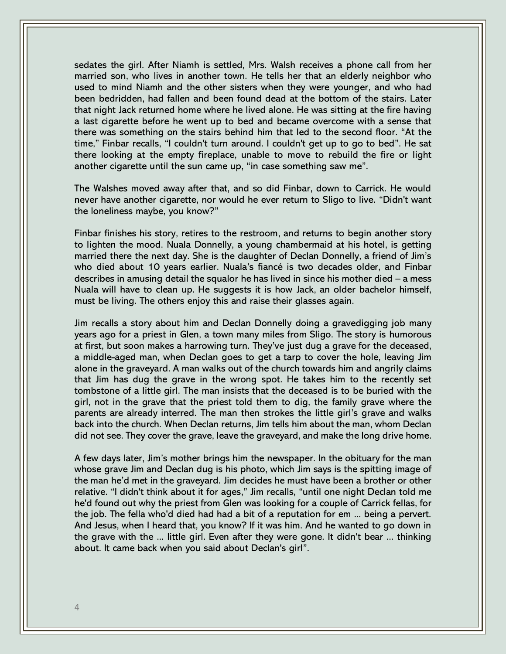sedates the girl. After Niamh is settled, Mrs. Walsh receives a phone call from her married son, who lives in another town. He tells her that an elderly neighbor who used to mind Niamh and the other sisters when they were younger, and who had been bedridden, had fallen and been found dead at the bottom of the stairs. Later that night Jack returned home where he lived alone. He was sitting at the fire having a last cigarette before he went up to bed and became overcome with a sense that there was something on the stairs behind him that led to the second floor. "At the time," Finbar recalls, "I couldn't turn around. I couldn't get up to go to bed". He sat there looking at the empty fireplace, unable to move to rebuild the fire or light another cigarette until the sun came up, "in case something saw me".

The Walshes moved away after that, and so did Finbar, down to Carrick. He would never have another cigarette, nor would he ever return to Sligo to live. "Didn't want the loneliness maybe, you know?"

Finbar finishes his story, retires to the restroom, and returns to begin another story to lighten the mood. Nuala Donnelly, a young chambermaid at his hotel, is getting married there the next day. She is the daughter of Declan Donnelly, a friend of Jim's who died about 10 years earlier. Nuala's fiancé is two decades older, and Finbar describes in amusing detail the squalor he has lived in since his mother died – a mess Nuala will have to clean up. He suggests it is how Jack, an older bachelor himself, must be living. The others enjoy this and raise their glasses again.

Jim recalls a story about him and Declan Donnelly doing a gravedigging job many years ago for a priest in Glen, a town many miles from Sligo. The story is humorous at first, but soon makes a harrowing turn. They've just dug a grave for the deceased, a middle-aged man, when Declan goes to get a tarp to cover the hole, leaving Jim alone in the graveyard. A man walks out of the church towards him and angrily claims that Jim has dug the grave in the wrong spot. He takes him to the recently set tombstone of a little girl. The man insists that the deceased is to be buried with the girl, not in the grave that the priest told them to dig, the family grave where the parents are already interred. The man then strokes the little girl's grave and walks back into the church. When Declan returns, Jim tells him about the man, whom Declan did not see. They cover the grave, leave the graveyard, and make the long drive home.

A few days later, Jim's mother brings him the newspaper. In the obituary for the man whose grave Jim and Declan dug is his photo, which Jim says is the spitting image of the man he'd met in the graveyard. Jim decides he must have been a brother or other relative. "I didn't think about it for ages," Jim recalls, "until one night Declan told me he'd found out why the priest from Glen was looking for a couple of Carrick fellas, for the job. The fella who'd died had had a bit of a reputation for em ... being a pervert. And Jesus, when I heard that, you know? If it was him. And he wanted to go down in the grave with the ... little girl. Even after they were gone. It didn't bear ... thinking about. It came back when you said about Declan's girl".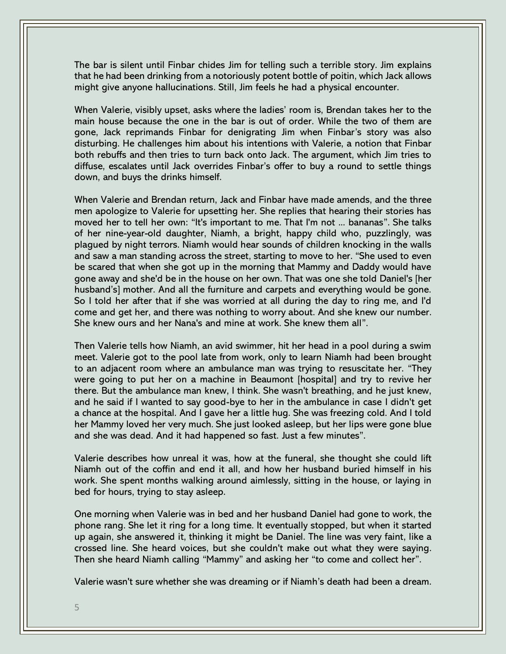The bar is silent until Finbar chides Jim for telling such a terrible story. Jim explains that he had been drinking from a notoriously potent bottle of poitin, which Jack allows might give anyone hallucinations. Still, Jim feels he had a physical encounter.

When Valerie, visibly upset, asks where the ladies' room is, Brendan takes her to the main house because the one in the bar is out of order. While the two of them are gone, Jack reprimands Finbar for denigrating Jim when Finbar's story was also disturbing. He challenges him about his intentions with Valerie, a notion that Finbar both rebuffs and then tries to turn back onto Jack. The argument, which Jim tries to diffuse, escalates until Jack overrides Finbar's offer to buy a round to settle things down, and buys the drinks himself.

When Valerie and Brendan return, Jack and Finbar have made amends, and the three men apologize to Valerie for upsetting her. She replies that hearing their stories has moved her to tell her own: "It's important to me. That I'm not ... bananas". She talks of her nine-year-old daughter, Niamh, a bright, happy child who, puzzlingly, was plagued by night terrors. Niamh would hear sounds of children knocking in the walls and saw a man standing across the street, starting to move to her. "She used to even be scared that when she got up in the morning that Mammy and Daddy would have gone away and she'd be in the house on her own. That was one she told Daniel's [her husband's] mother. And all the furniture and carpets and everything would be gone. So I told her after that if she was worried at all during the day to ring me, and I'd come and get her, and there was nothing to worry about. And she knew our number. She knew ours and her Nana's and mine at work. She knew them all".

Then Valerie tells how Niamh, an avid swimmer, hit her head in a pool during a swim meet. Valerie got to the pool late from work, only to learn Niamh had been brought to an adjacent room where an ambulance man was trying to resuscitate her. "They were going to put her on a machine in Beaumont [hospital] and try to revive her there. But the ambulance man knew, I think. She wasn't breathing, and he just knew, and he said if I wanted to say good-bye to her in the ambulance in case I didn't get a chance at the hospital. And I gave her a little hug. She was freezing cold. And I told her Mammy loved her very much. She just looked asleep, but her lips were gone blue and she was dead. And it had happened so fast. Just a few minutes".

Valerie describes how unreal it was, how at the funeral, she thought she could lift Niamh out of the coffin and end it all, and how her husband buried himself in his work. She spent months walking around aimlessly, sitting in the house, or laying in bed for hours, trying to stay asleep.

One morning when Valerie was in bed and her husband Daniel had gone to work, the phone rang. She let it ring for a long time. It eventually stopped, but when it started up again, she answered it, thinking it might be Daniel. The line was very faint, like a crossed line. She heard voices, but she couldn't make out what they were saying. Then she heard Niamh calling "Mammy" and asking her "to come and collect her".

Valerie wasn't sure whether she was dreaming or if Niamh's death had been a dream.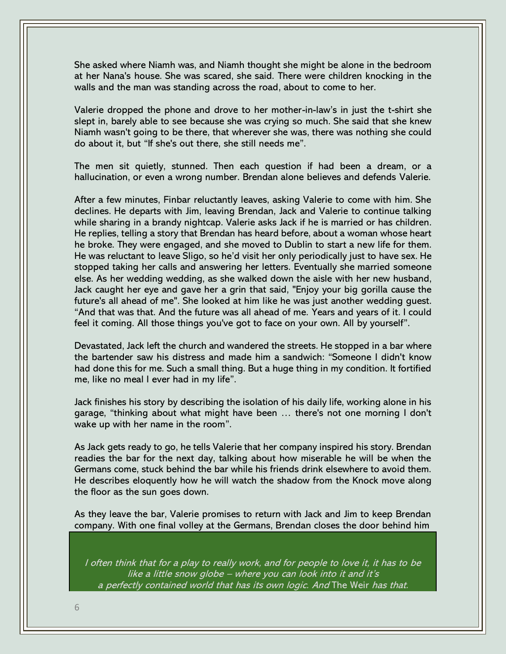She asked where Niamh was, and Niamh thought she might be alone in the bedroom at her Nana's house. She was scared, she said. There were children knocking in the walls and the man was standing across the road, about to come to her.

Valerie dropped the phone and drove to her mother-in-law's in just the t-shirt she slept in, barely able to see because she was crying so much. She said that she knew Niamh wasn't going to be there, that wherever she was, there was nothing she could do about it, but "If she's out there, she still needs me".

The men sit quietly, stunned. Then each question if had been a dream, or a hallucination, or even a wrong number. Brendan alone believes and defends Valerie.

After a few minutes, Finbar reluctantly leaves, asking Valerie to come with him. She declines. He departs with Jim, leaving Brendan, Jack and Valerie to continue talking while sharing in a brandy nightcap. Valerie asks Jack if he is married or has children. He replies, telling a story that Brendan has heard before, about a woman whose heart he broke. They were engaged, and she moved to Dublin to start a new life for them. He was reluctant to leave Sligo, so he'd visit her only periodically just to have sex. He stopped taking her calls and answering her letters. Eventually she married someone else. As her wedding wedding, as she walked down the aisle with her new husband, Jack caught her eye and gave her a grin that said, "Enjoy your big gorilla cause the future's all ahead of me". She looked at him like he was just another wedding guest. "And that was that. And the future was all ahead of me. Years and years of it. I could feel it coming. All those things you've got to face on your own. All by yourself".

Devastated, Jack left the church and wandered the streets. He stopped in a bar where the bartender saw his distress and made him a sandwich: "Someone I didn't know had done this for me. Such a small thing. But a huge thing in my condition. It fortified me, like no meal I ever had in my life".

Jack finishes his story by describing the isolation of his daily life, working alone in his garage, "thinking about what might have been … there's not one morning I don't wake up with her name in the room".

As Jack gets ready to go, he tells Valerie that her company inspired his story. Brendan readies the bar for the next day, talking about how miserable he will be when the Germans come, stuck behind the bar while his friends drink elsewhere to avoid them. He describes eloquently how he will watch the shadow from the Knock move along the floor as the sun goes down.

As they leave the bar, Valerie promises to return with Jack and Jim to keep Brendan company. With one final volley at the Germans, Brendan closes the door behind him

I often think that for a play to really work, and for people to love it, it has to be like a little snow globe – where you can look into it and it's a perfectly contained world that has its own logic. And The Weir has that.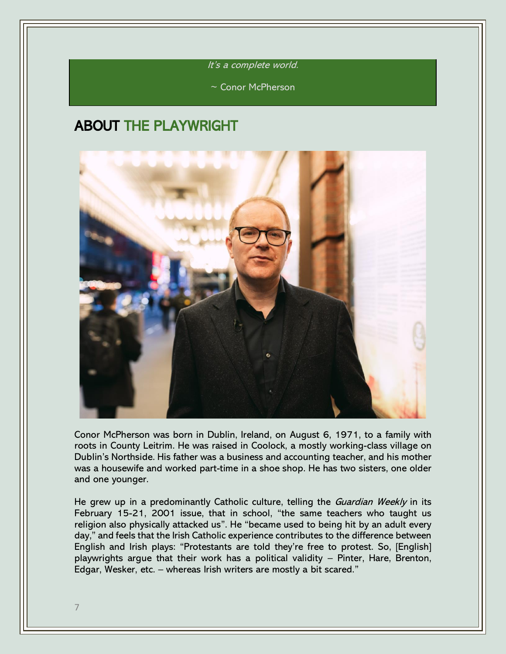It's a complete world.

~ Conor McPherson

### ABOUT THE PLAYWRIGHT



Conor McPherson was born in Dublin, Ireland, on August 6, 1971, to a family with roots in County Leitrim. He was raised in Coolock, a mostly working-class village on Dublin's Northside. His father was a business and accounting teacher, and his mother was a housewife and worked part-time in a shoe shop. He has two sisters, one older and one younger.

He grew up in a predominantly Catholic culture, telling the Guardian Weekly in its February 15-21, 2001 issue, that in school, "the same teachers who taught us religion also physically attacked us". He "became used to being hit by an adult every day," and feels that the Irish Catholic experience contributes to the difference between English and Irish plays: "Protestants are told they're free to protest. So, [English] playwrights argue that their work has a political validity – Pinter, Hare, Brenton, Edgar, Wesker, etc. – whereas Irish writers are mostly a bit scared."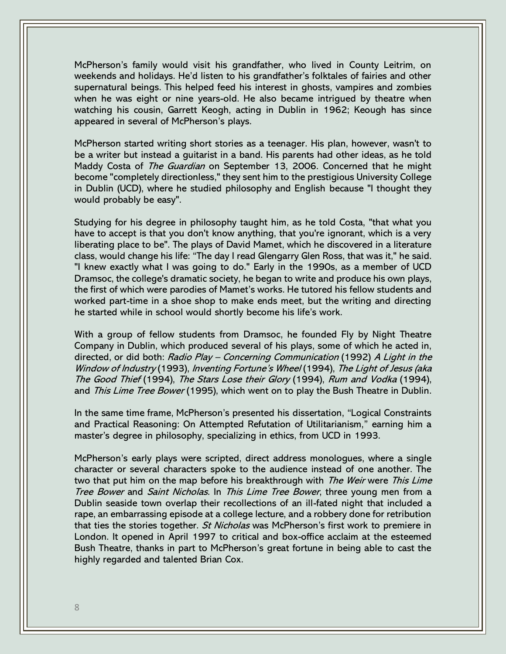McPherson's family would visit his grandfather, who lived in County Leitrim, on weekends and holidays. He'd listen to his grandfather's folktales of fairies and other supernatural beings. This helped feed his interest in ghosts, vampires and zombies when he was eight or nine years-old. He also became intrigued by theatre when watching his cousin, Garrett Keogh, acting in Dublin in 1962; Keough has since appeared in several of McPherson's plays.

McPherson started writing short stories as a teenager. His plan, however, wasn't to be a writer but instead a guitarist in a band. His parents had other ideas, as he told Maddy Costa of The Guardian on September 13, 2006. Concerned that he might become "completely directionless," they sent him to the prestigious University College in Dublin (UCD), where he studied philosophy and English because "I thought they would probably be easy".

Studying for his degree in philosophy taught him, as he told Costa, "that what you have to accept is that you don't know anything, that you're ignorant, which is a very liberating place to be". The plays of David Mamet, which he discovered in a literature class, would change his life: "The day I read Glengarry Glen Ross, that was it," he said. "I knew exactly what I was going to do." Early in the 1990s, as a member of UCD Dramsoc, the college's dramatic society, he began to write and produce his own plays, the first of which were parodies of Mamet's works. He tutored his fellow students and worked part-time in a shoe shop to make ends meet, but the writing and directing he started while in school would shortly become his life's work.

With a group of fellow students from Dramsoc, he founded Fly by Night Theatre Company in Dublin, which produced several of his plays, some of which he acted in, directed, or did both: Radio Play – Concerning Communication (1992) A Light in the Window of Industry (1993), Inventing Fortune's Wheel (1994), The Light of Jesus (aka The Good Thief (1994), The Stars Lose their Glory (1994), Rum and Vodka (1994), and This Lime Tree Bower (1995), which went on to play the Bush Theatre in Dublin.

In the same time frame, McPherson's presented his dissertation, "Logical Constraints and Practical Reasoning: On Attempted Refutation of Utilitarianism," earning him a master's degree in philosophy, specializing in ethics, from UCD in 1993.

McPherson's early plays were scripted, direct address monologues, where a single character or several characters spoke to the audience instead of one another. The two that put him on the map before his breakthrough with *The Weir* were *This Lime* Tree Bower and Saint Nicholas. In This Lime Tree Bower, three young men from a Dublin seaside town overlap their recollections of an ill-fated night that included a rape, an embarrassing episode at a college lecture, and a robbery done for retribution that ties the stories together. *St Nicholas* was McPherson's first work to premiere in London. It opened in April 1997 to critical and box-office acclaim at the esteemed Bush Theatre, thanks in part to McPherson's great fortune in being able to cast the highly regarded and talented Brian Cox.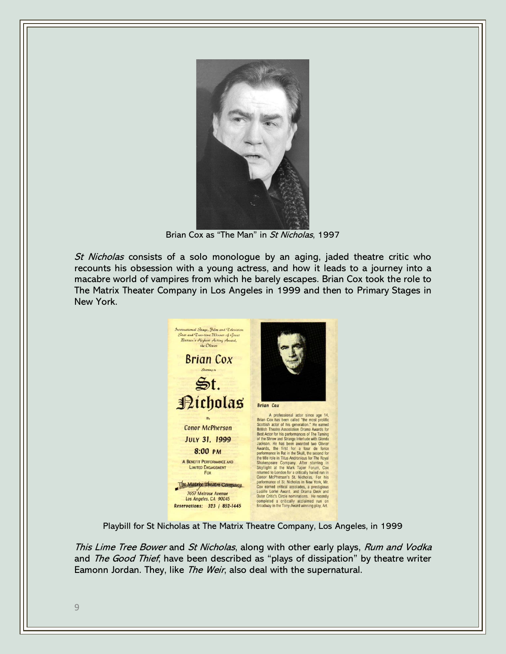

Brian Cox as "The Man" in St Nicholas, 1997

St Nicholas consists of a solo monologue by an aging, jaded theatre critic who recounts his obsession with a young actress, and how it leads to a journey into a macabre world of vampires from which he barely escapes. Brian Cox took the role to The Matrix Theater Company in Los Angeles in 1999 and then to Primary Stages in New York.



Playbill for St Nicholas at The Matrix Theatre Company, Los Angeles, in 1999

This Lime Tree Bower and St Nicholas, along with other early plays, Rum and Vodka and *The Good Thief*, have been described as "plays of dissipation" by theatre writer Eamonn Jordan. They, like *The Weir*, also deal with the supernatural.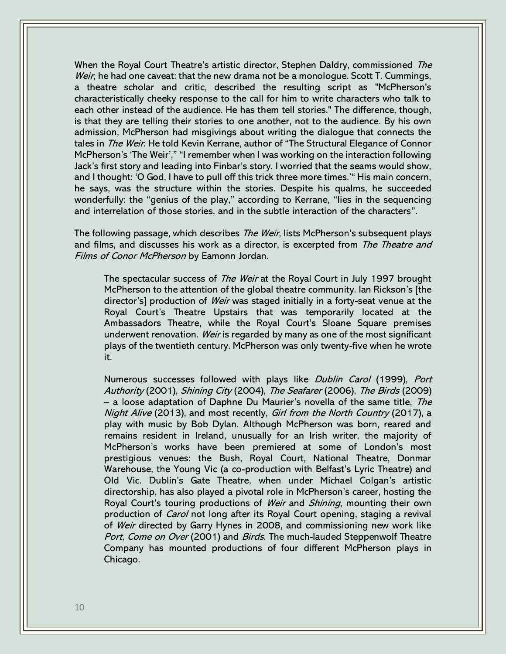When the Royal Court Theatre's artistic director, Stephen Daldry, commissioned The Weir, he had one caveat: that the new drama not be a monologue. Scott T. Cummings, a theatre scholar and critic, described the resulting script as "McPherson's characteristically cheeky response to the call for him to write characters who talk to each other instead of the audience. He has them tell stories." The difference, though, is that they are telling their stories to one another, not to the audience. By his own admission, McPherson had misgivings about writing the dialogue that connects the tales in The Weir. He told Kevin Kerrane, author of "The Structural Elegance of Connor McPherson's 'The Weir'," "I remember when I was working on the interaction following Jack's first story and leading into Finbar's story. I worried that the seams would show, and I thought: 'O God, I have to pull off this trick three more times.'" His main concern, he says, was the structure within the stories. Despite his qualms, he succeeded wonderfully: the "genius of the play," according to Kerrane, "lies in the sequencing and interrelation of those stories, and in the subtle interaction of the characters".

The following passage, which describes *The Weir*, lists McPherson's subsequent plays and films, and discusses his work as a director, is excerpted from The Theatre and Films of Conor McPherson by Eamonn Jordan.

The spectacular success of *The Weir* at the Royal Court in July 1997 brought McPherson to the attention of the global theatre community. Ian Rickson's [the director's] production of *Weir* was staged initially in a forty-seat venue at the Royal Court's Theatre Upstairs that was temporarily located at the Ambassadors Theatre, while the Royal Court's Sloane Square premises underwent renovation. Weir is regarded by many as one of the most significant plays of the twentieth century. McPherson was only twenty-five when he wrote it.

Numerous successes followed with plays like *Dublin Carol* (1999), Port Authority (2001), Shining City (2004), The Seafarer (2006), The Birds (2009) – a loose adaptation of Daphne Du Maurier's novella of the same title, The Night Alive (2013), and most recently, Girl from the North Country (2017), a play with music by Bob Dylan. Although McPherson was born, reared and remains resident in Ireland, unusually for an Irish writer, the majority of McPherson's works have been premiered at some of London's most prestigious venues: the Bush, Royal Court, National Theatre, Donmar Warehouse, the Young Vic (a co-production with Belfast's Lyric Theatre) and Old Vic. Dublin's Gate Theatre, when under Michael Colgan's artistic directorship, has also played a pivotal role in McPherson's career, hosting the Royal Court's touring productions of Weir and Shining, mounting their own production of *Carol* not long after its Royal Court opening, staging a revival of *Weir* directed by Garry Hynes in 2008, and commissioning new work like Port, Come on Over (2001) and Birds. The much-lauded Steppenwolf Theatre Company has mounted productions of four different McPherson plays in Chicago.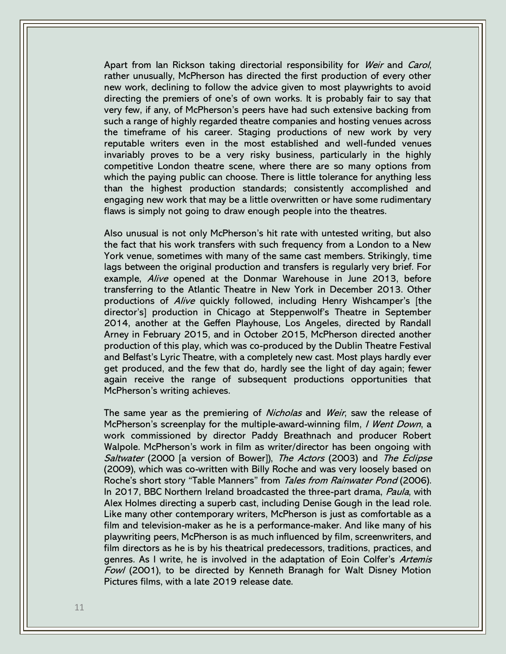Apart from Ian Rickson taking directorial responsibility for Weir and Carol, rather unusually, McPherson has directed the first production of every other new work, declining to follow the advice given to most playwrights to avoid directing the premiers of one's of own works. It is probably fair to say that very few, if any, of McPherson's peers have had such extensive backing from such a range of highly regarded theatre companies and hosting venues across the timeframe of his career. Staging productions of new work by very reputable writers even in the most established and well-funded venues invariably proves to be a very risky business, particularly in the highly competitive London theatre scene, where there are so many options from which the paying public can choose. There is little tolerance for anything less than the highest production standards; consistently accomplished and engaging new work that may be a little overwritten or have some rudimentary flaws is simply not going to draw enough people into the theatres.

Also unusual is not only McPherson's hit rate with untested writing, but also the fact that his work transfers with such frequency from a London to a New York venue, sometimes with many of the same cast members. Strikingly, time lags between the original production and transfers is regularly very brief. For example. Alive opened at the Donmar Warehouse in June 2013, before transferring to the Atlantic Theatre in New York in December 2013. Other productions of Alive quickly followed, including Henry Wishcamper's [the director's] production in Chicago at Steppenwolf's Theatre in September 2014, another at the Geffen Playhouse, Los Angeles, directed by Randall Arney in February 2015, and in October 2015, McPherson directed another production of this play, which was co-produced by the Dublin Theatre Festival and Belfast's Lyric Theatre, with a completely new cast. Most plays hardly ever get produced, and the few that do, hardly see the light of day again; fewer again receive the range of subsequent productions opportunities that McPherson's writing achieves.

The same year as the premiering of Nicholas and Weir, saw the release of McPherson's screenplay for the multiple-award-winning film, *I Went Down*, a work commissioned by director Paddy Breathnach and producer Robert Walpole. McPherson's work in film as writer/director has been ongoing with Saltwater (2000 [a version of Bower]), The Actors (2003) and The Eclipse (2009), which was co-written with Billy Roche and was very loosely based on Roche's short story "Table Manners" from Tales from Rainwater Pond (2006). In 2017, BBC Northern Ireland broadcasted the three-part drama, Paula, with Alex Holmes directing a superb cast, including Denise Gough in the lead role. Like many other contemporary writers, McPherson is just as comfortable as a film and television-maker as he is a performance-maker. And like many of his playwriting peers, McPherson is as much influenced by film, screenwriters, and film directors as he is by his theatrical predecessors, traditions, practices, and genres. As I write, he is involved in the adaptation of Eoin Colfer's Artemis Fowl (2001), to be directed by Kenneth Branagh for Walt Disney Motion Pictures films, with a late 2019 release date.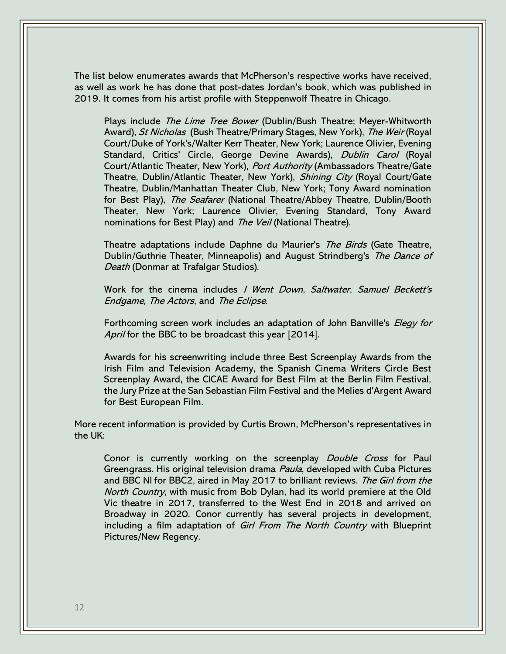The list below enumerates awards that McPherson's respective works have received, as well as work he has done that post-dates Jordan's book, which was published in 2019. It comes from his artist profile with Steppenwolf Theatre in Chicago.

Plays include *The Lime Tree Bower* (Dublin/Bush Theatre; Meyer-Whitworth Award), St Nicholas (Bush Theatre/Primary Stages, New York), The Weir (Royal Court/Duke of York's/Walter Kerr Theater, New York; Laurence Olivier, Evening Standard, Critics' Circle, George Devine Awards), *Dublin Carol* (Royal Court/Atlantic Theater, New York), Port Authority (Ambassadors Theatre/Gate Theatre, Dublin/Atlantic Theater, New York), Shining City (Royal Court/Gate Theatre, Dublin/Manhattan Theater Club, New York; Tony Award nomination for Best Play), The Seafarer (National Theatre/Abbey Theatre, Dublin/Booth Theater, New York; Laurence Olivier, Evening Standard, Tony Award nominations for Best Play) and *The Veil* (National Theatre).

Theatre adaptations include Daphne du Maurier's The Birds (Gate Theatre, Dublin/Guthrie Theater, Minneapolis) and August Strindberg's The Dance of Death (Donmar at Trafalgar Studios).

Work for the cinema includes / Went Down, Saltwater, Samuel Beckett's Endgame, The Actors, and The Eclipse.

Forthcoming screen work includes an adaptation of John Banville's *Elegy for* April for the BBC to be broadcast this year [2014].

Awards for his screenwriting include three Best Screenplay Awards from the Irish Film and Television Academy, the Spanish Cinema Writers Circle Best Screenplay Award, the CICAE Award for Best Film at the Berlin Film Festival, the Jury Prize at the San Sebastian Film Festival and the Melies d'Argent Award for Best European Film.

More recent information is provided by Curtis Brown, McPherson's representatives in the UK:

Conor is currently working on the screenplay Double Cross for Paul Greengrass. His original television drama Paula, developed with Cuba Pictures and BBC NI for BBC2, aired in May 2017 to brilliant reviews. The Girl from the North Country, with music from Bob Dylan, had its world premiere at the Old Vic theatre in 2017, transferred to the West End in 2018 and arrived on Broadway in 2020. Conor currently has several projects in development, including a film adaptation of *Girl From The North Country* with Blueprint Pictures/New Regency.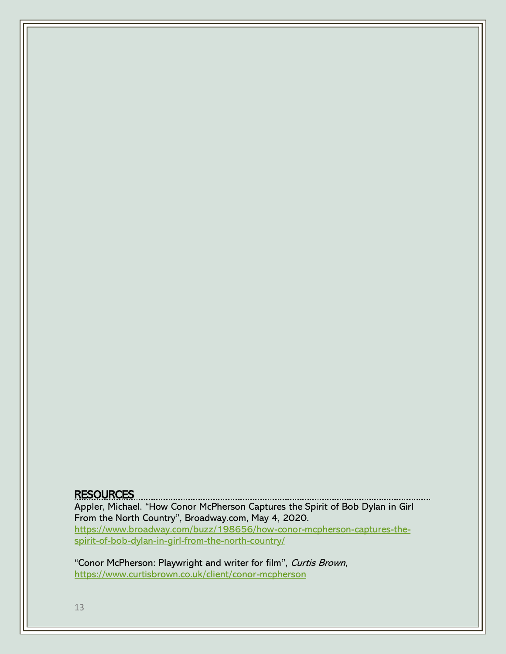### **RESOURCES**

Appler, Michael. "How Conor McPherson Captures the Spirit of Bob Dylan in Girl From the North Country", Broadway.com, May 4, 2020. [https://www.broadway.com/buzz/198656/how-conor-mcpherson-captures-the](https://www.broadway.com/buzz/198656/how-conor-mcpherson-captures-the-spirit-of-bob-dylan-in-girl-from-the-north-country/)[spirit-of-bob-dylan-in-girl-from-the-north-country/](https://www.broadway.com/buzz/198656/how-conor-mcpherson-captures-the-spirit-of-bob-dylan-in-girl-from-the-north-country/)

"Conor McPherson: Playwright and writer for film", Curtis Brown, <https://www.curtisbrown.co.uk/client/conor-mcpherson>